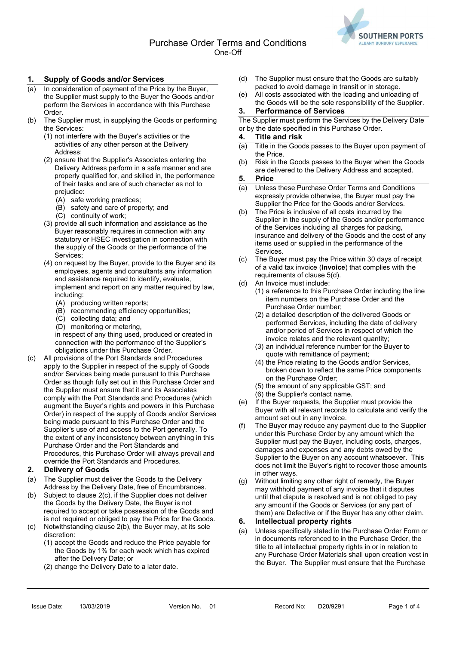

## 1. Supply of Goods and/or Services

- (a) In consideration of payment of the Price by the Buyer, the Supplier must supply to the Buyer the Goods and/or perform the Services in accordance with this Purchase Order.
- (b) The Supplier must, in supplying the Goods or performing the Services:
	- (1) not interfere with the Buyer's activities or the activities of any other person at the Delivery Address;
	- (2) ensure that the Supplier's Associates entering the Delivery Address perform in a safe manner and are properly qualified for, and skilled in, the performance of their tasks and are of such character as not to prejudice:
		- (A) safe working practices;
		- (B) safety and care of property; and
		- (C) continuity of work;
	- (3) provide all such information and assistance as the Buyer reasonably requires in connection with any statutory or HSEC investigation in connection with the supply of the Goods or the performance of the Services;
	- (4) on request by the Buyer, provide to the Buyer and its employees, agents and consultants any information and assistance required to identify, evaluate, implement and report on any matter required by law, including:
		- (A) producing written reports;
		- (B) recommending efficiency opportunities;
		- (C) collecting data; and
		- (D) monitoring or metering,

in respect of any thing used, produced or created in connection with the performance of the Supplier's obligations under this Purchase Order.

(c) All provisions of the Port Standards and Procedures apply to the Supplier in respect of the supply of Goods and/or Services being made pursuant to this Purchase Order as though fully set out in this Purchase Order and the Supplier must ensure that it and its Associates comply with the Port Standards and Procedures (which augment the Buyer's rights and powers in this Purchase Order) in respect of the supply of Goods and/or Services being made pursuant to this Purchase Order and the Supplier's use of and access to the Port generally. To the extent of any inconsistency between anything in this Purchase Order and the Port Standards and Procedures, this Purchase Order will always prevail and override the Port Standards and Procedures.

## 2. Delivery of Goods

- (a) The Supplier must deliver the Goods to the Delivery Address by the Delivery Date, free of Encumbrances.
- (b) Subject to clause 2(c), if the Supplier does not deliver the Goods by the Delivery Date, the Buyer is not required to accept or take possession of the Goods and is not required or obliged to pay the Price for the Goods.
- (c) Notwithstanding clause 2(b), the Buyer may, at its sole discretion:
	- (1) accept the Goods and reduce the Price payable for the Goods by 1% for each week which has expired after the Delivery Date; or
	- (2) change the Delivery Date to a later date.
- (d) The Supplier must ensure that the Goods are suitably packed to avoid damage in transit or in storage.
- (e) All costs associated with the loading and unloading of the Goods will be the sole responsibility of the Supplier.

#### 3. Performance of Services

The Supplier must perform the Services by the Delivery Date or by the date specified in this Purchase Order.

#### 4. Title and risk

- (a) Title in the Goods passes to the Buyer upon payment of the Price.
- (b) Risk in the Goods passes to the Buyer when the Goods are delivered to the Delivery Address and accepted.

#### 5. Price

- (a) Unless these Purchase Order Terms and Conditions expressly provide otherwise, the Buyer must pay the Supplier the Price for the Goods and/or Services.
- (b) The Price is inclusive of all costs incurred by the Supplier in the supply of the Goods and/or performance of the Services including all charges for packing, insurance and delivery of the Goods and the cost of any items used or supplied in the performance of the **Services**
- (c) The Buyer must pay the Price within 30 days of receipt of a valid tax invoice (Invoice) that complies with the requirements of clause 5(d).
- (d) An Invoice must include:
	- (1) a reference to this Purchase Order including the line item numbers on the Purchase Order and the Purchase Order number;
	- (2) a detailed description of the delivered Goods or performed Services, including the date of delivery and/or period of Services in respect of which the invoice relates and the relevant quantity;
	- (3) an individual reference number for the Buyer to quote with remittance of payment;
	- (4) the Price relating to the Goods and/or Services, broken down to reflect the same Price components on the Purchase Order;
	- (5) the amount of any applicable GST; and
	- (6) the Supplier's contact name.
- (e) If the Buyer requests, the Supplier must provide the Buyer with all relevant records to calculate and verify the amount set out in any Invoice.
- (f) The Buyer may reduce any payment due to the Supplier under this Purchase Order by any amount which the Supplier must pay the Buyer, including costs, charges, damages and expenses and any debts owed by the Supplier to the Buyer on any account whatsoever. This does not limit the Buyer's right to recover those amounts in other ways.
- (g) Without limiting any other right of remedy, the Buyer may withhold payment of any invoice that it disputes until that dispute is resolved and is not obliged to pay any amount if the Goods or Services (or any part of them) are Defective or if the Buyer has any other claim.

## 6. Intellectual property rights

(a) Unless specifically stated in the Purchase Order Form or in documents referenced to in the Purchase Order, the title to all intellectual property rights in or in relation to any Purchase Order Materials shall upon creation vest in the Buyer. The Supplier must ensure that the Purchase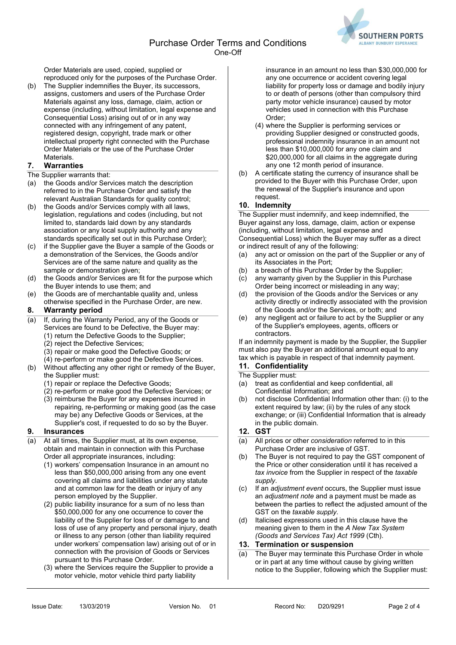

Order Materials are used, copied, supplied or reproduced only for the purposes of the Purchase Order.

(b) The Supplier indemnifies the Buyer, its successors, assigns, customers and users of the Purchase Order Materials against any loss, damage, claim, action or expense (including, without limitation, legal expense and Consequential Loss) arising out of or in any way connected with any infringement of any patent, registered design, copyright, trade mark or other intellectual property right connected with the Purchase Order Materials or the use of the Purchase Order **Materials** 

## 7. Warranties

#### The Supplier warrants that:

- (a) the Goods and/or Services match the description referred to in the Purchase Order and satisfy the relevant Australian Standards for quality control;
- (b) the Goods and/or Services comply with all laws, legislation, regulations and codes (including, but not limited to, standards laid down by any standards association or any local supply authority and any standards specifically set out in this Purchase Order);
- (c) if the Supplier gave the Buyer a sample of the Goods or a demonstration of the Services, the Goods and/or Services are of the same nature and quality as the sample or demonstration given;
- (d) the Goods and/or Services are fit for the purpose which the Buyer intends to use them; and
- (e) the Goods are of merchantable quality and, unless otherwise specified in the Purchase Order, are new.

## 8. Warranty period

- (a) If, during the Warranty Period, any of the Goods or Services are found to be Defective, the Buyer may:
	- (1) return the Defective Goods to the Supplier;
		- (2) reject the Defective Services;
		- (3) repair or make good the Defective Goods; or
	- (4) re-perform or make good the Defective Services.
- (b) Without affecting any other right or remedy of the Buyer, the Supplier must:
	- (1) repair or replace the Defective Goods;
	- (2) re-perform or make good the Defective Services; or
	- (3) reimburse the Buyer for any expenses incurred in repairing, re-performing or making good (as the case may be) any Defective Goods or Services, at the Supplier's cost, if requested to do so by the Buyer.

## 9. Insurances

- (a) At all times, the Supplier must, at its own expense, obtain and maintain in connection with this Purchase Order all appropriate insurances, including:
	- (1) workers' compensation Insurance in an amount no less than \$50,000,000 arising from any one event covering all claims and liabilities under any statute and at common law for the death or injury of any person employed by the Supplier.
	- (2) public liability insurance for a sum of no less than \$50,000,000 for any one occurrence to cover the liability of the Supplier for loss of or damage to and loss of use of any property and personal injury, death or illness to any person (other than liability required under workers' compensation law) arising out of or in connection with the provision of Goods or Services pursuant to this Purchase Order.
	- (3) where the Services require the Supplier to provide a motor vehicle, motor vehicle third party liability

insurance in an amount no less than \$30,000,000 for any one occurrence or accident covering legal liability for property loss or damage and bodily injury to or death of persons (other than compulsory third party motor vehicle insurance) caused by motor vehicles used in connection with this Purchase Order;

- (4) where the Supplier is performing services or providing Supplier designed or constructed goods, professional indemnity insurance in an amount not less than \$10,000,000 for any one claim and \$20,000,000 for all claims in the aggregate during any one 12 month period of insurance.
- (b) A certificate stating the currency of insurance shall be provided to the Buyer with this Purchase Order, upon the renewal of the Supplier's insurance and upon request.

## 10. Indemnity

The Supplier must indemnify, and keep indemnified, the Buyer against any loss, damage, claim, action or expense (including, without limitation, legal expense and Consequential Loss) which the Buyer may suffer as a direct or indirect result of any of the following:

- (a) any act or omission on the part of the Supplier or any of its Associates in the Port;
- (b) a breach of this Purchase Order by the Supplier;
- (c) any warranty given by the Supplier in this Purchase Order being incorrect or misleading in any way;
- (d) the provision of the Goods and/or the Services or any activity directly or indirectly associated with the provision of the Goods and/or the Services, or both; and
- (e) any negligent act or failure to act by the Supplier or any of the Supplier's employees, agents, officers or contractors.

If an indemnity payment is made by the Supplier, the Supplier must also pay the Buyer an additional amount equal to any tax which is payable in respect of that indemnity payment.

# 11. Confidentiality

#### The Supplier must:

- (a) treat as confidential and keep confidential, all Confidential Information; and
- (b) not disclose Confidential Information other than: (i) to the extent required by law; (ii) by the rules of any stock exchange; or (iii) Confidential Information that is already in the public domain.

## 12. GST

- (a) All prices or other consideration referred to in this Purchase Order are inclusive of GST.
- (b) The Buyer is not required to pay the GST component of the Price or other consideration until it has received a tax invoice from the Supplier in respect of the taxable supply.
- (c) If an adjustment event occurs, the Supplier must issue an adjustment note and a payment must be made as between the parties to reflect the adjusted amount of the GST on the taxable supply.
- (d) Italicised expressions used in this clause have the meaning given to them in the A New Tax System (Goods and Services Tax) Act 1999 (Cth).

## 13. Termination or suspension

(a) The Buyer may terminate this Purchase Order in whole or in part at any time without cause by giving written notice to the Supplier, following which the Supplier must: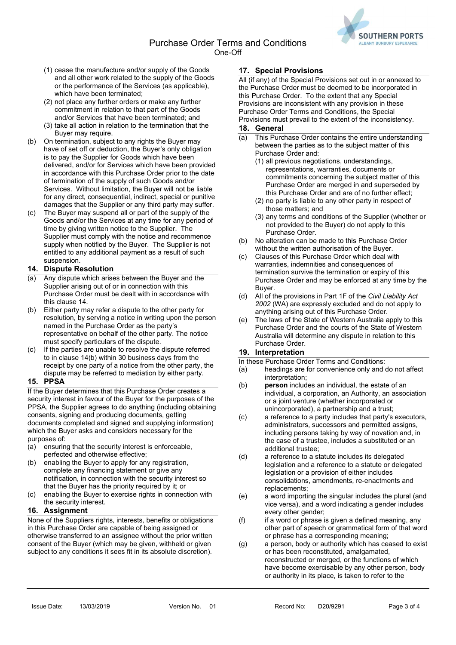Purchase Order Terms and Conditions One-Off



- (1) cease the manufacture and/or supply of the Goods and all other work related to the supply of the Goods or the performance of the Services (as applicable), which have been terminated;
- (2) not place any further orders or make any further commitment in relation to that part of the Goods and/or Services that have been terminated; and
- (3) take all action in relation to the termination that the Buyer may require.
- (b) On termination, subject to any rights the Buyer may have of set off or deduction, the Buyer's only obligation is to pay the Supplier for Goods which have been delivered, and/or for Services which have been provided in accordance with this Purchase Order prior to the date of termination of the supply of such Goods and/or Services. Without limitation, the Buyer will not be liable for any direct, consequential, indirect, special or punitive damages that the Supplier or any third party may suffer.
- (c) The Buyer may suspend all or part of the supply of the Goods and/or the Services at any time for any period of time by giving written notice to the Supplier. The Supplier must comply with the notice and recommence supply when notified by the Buyer. The Supplier is not entitled to any additional payment as a result of such suspension.

## 14. Dispute Resolution

- (a) Any dispute which arises between the Buyer and the Supplier arising out of or in connection with this Purchase Order must be dealt with in accordance with this clause 14.
- (b) Either party may refer a dispute to the other party for resolution, by serving a notice in writing upon the person named in the Purchase Order as the party's representative on behalf of the other party. The notice must specify particulars of the dispute.
- (c) If the parties are unable to resolve the dispute referred to in clause 14(b) within 30 business days from the receipt by one party of a notice from the other party, the dispute may be referred to mediation by either party.

## 15. PPSA

If the Buyer determines that this Purchase Order creates a security interest in favour of the Buyer for the purposes of the PPSA, the Supplier agrees to do anything (including obtaining consents, signing and producing documents, getting documents completed and signed and supplying information) which the Buyer asks and considers necessary for the purposes of:

- (a) ensuring that the security interest is enforceable, perfected and otherwise effective;
- (b) enabling the Buyer to apply for any registration, complete any financing statement or give any notification, in connection with the security interest so that the Buyer has the priority required by it; or
- (c) enabling the Buyer to exercise rights in connection with the security interest.

## 16. Assignment

None of the Suppliers rights, interests, benefits or obligations in this Purchase Order are capable of being assigned or otherwise transferred to an assignee without the prior written consent of the Buyer (which may be given, withheld or given subject to any conditions it sees fit in its absolute discretion).

# 17. Special Provisions

All (if any) of the Special Provisions set out in or annexed to the Purchase Order must be deemed to be incorporated in this Purchase Order. To the extent that any Special Provisions are inconsistent with any provision in these Purchase Order Terms and Conditions, the Special Provisions must prevail to the extent of the inconsistency.

## 18. General

- (a) This Purchase Order contains the entire understanding between the parties as to the subject matter of this Purchase Order and:
	- (1) all previous negotiations, understandings, representations, warranties, documents or commitments concerning the subject matter of this Purchase Order are merged in and superseded by this Purchase Order and are of no further effect;
	- (2) no party is liable to any other party in respect of those matters; and
	- (3) any terms and conditions of the Supplier (whether or not provided to the Buyer) do not apply to this Purchase Order.
- (b) No alteration can be made to this Purchase Order without the written authorisation of the Buyer.
- (c) Clauses of this Purchase Order which deal with warranties, indemnities and consequences of termination survive the termination or expiry of this Purchase Order and may be enforced at any time by the Buyer.
- (d) All of the provisions in Part 1F of the Civil Liability Act 2002 (WA) are expressly excluded and do not apply to anything arising out of this Purchase Order.
- (e) The laws of the State of Western Australia apply to this Purchase Order and the courts of the State of Western Australia will determine any dispute in relation to this Purchase Order.

## 19. Interpretation

In these Purchase Order Terms and Conditions:

- (a) headings are for convenience only and do not affect interpretation;
- (b) person includes an individual, the estate of an individual, a corporation, an Authority, an association or a joint venture (whether incorporated or unincorporated), a partnership and a trust;
- (c) a reference to a party includes that party's executors, administrators, successors and permitted assigns, including persons taking by way of novation and, in the case of a trustee, includes a substituted or an additional trustee;
- (d) a reference to a statute includes its delegated legislation and a reference to a statute or delegated legislation or a provision of either includes consolidations, amendments, re-enactments and replacements;
- (e) a word importing the singular includes the plural (and vice versa), and a word indicating a gender includes every other gender;
- (f) if a word or phrase is given a defined meaning, any other part of speech or grammatical form of that word or phrase has a corresponding meaning;
- (g) a person, body or authority which has ceased to exist or has been reconstituted, amalgamated, reconstructed or merged, or the functions of which have become exercisable by any other person, body or authority in its place, is taken to refer to the